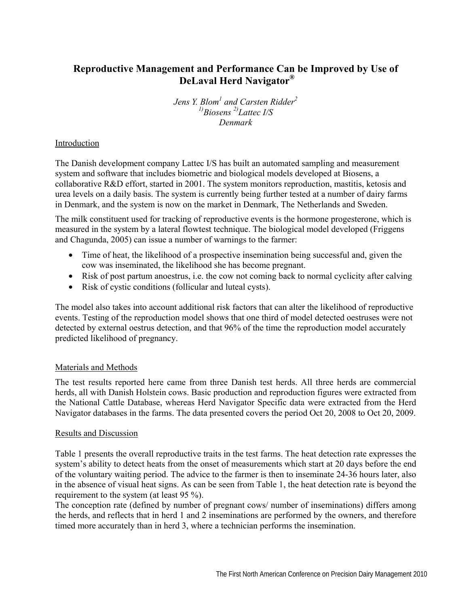# **Reproductive Management and Performance Can be Improved by Use of DeLaval Herd Navigator®**

*Jens Y. Blom1 and Carsten Ridder<sup>2</sup> 1)Biosens 2)Lattec I/S Denmark* 

## Introduction

The Danish development company Lattec I/S has built an automated sampling and measurement system and software that includes biometric and biological models developed at Biosens, a collaborative R&D effort, started in 2001. The system monitors reproduction, mastitis, ketosis and urea levels on a daily basis. The system is currently being further tested at a number of dairy farms in Denmark, and the system is now on the market in Denmark, The Netherlands and Sweden.

The milk constituent used for tracking of reproductive events is the hormone progesterone, which is measured in the system by a lateral flowtest technique. The biological model developed (Friggens and Chagunda, 2005) can issue a number of warnings to the farmer:

- Time of heat, the likelihood of a prospective insemination being successful and, given the cow was inseminated, the likelihood she has become pregnant.
- Risk of post partum anoestrus, i.e. the cow not coming back to normal cyclicity after calving
- Risk of cystic conditions (follicular and luteal cysts).

The model also takes into account additional risk factors that can alter the likelihood of reproductive events. Testing of the reproduction model shows that one third of model detected oestruses were not detected by external oestrus detection, and that 96% of the time the reproduction model accurately predicted likelihood of pregnancy.

### Materials and Methods

The test results reported here came from three Danish test herds. All three herds are commercial herds, all with Danish Holstein cows. Basic production and reproduction figures were extracted from the National Cattle Database, whereas Herd Navigator Specific data were extracted from the Herd Navigator databases in the farms. The data presented covers the period Oct 20, 2008 to Oct 20, 2009.

### Results and Discussion

Table 1 presents the overall reproductive traits in the test farms. The heat detection rate expresses the system's ability to detect heats from the onset of measurements which start at 20 days before the end of the voluntary waiting period. The advice to the farmer is then to inseminate 24-36 hours later, also in the absence of visual heat signs. As can be seen from Table 1, the heat detection rate is beyond the requirement to the system (at least 95 %).

The conception rate (defined by number of pregnant cows/ number of inseminations) differs among the herds, and reflects that in herd 1 and 2 inseminations are performed by the owners, and therefore timed more accurately than in herd 3, where a technician performs the insemination.